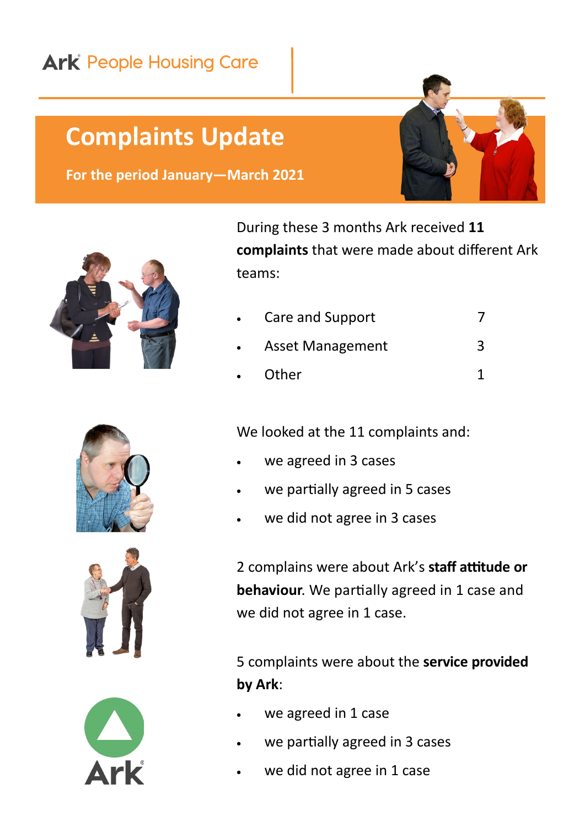## **Ark** People Housing Care

## **Complaints Update**

**For the period January—March 2021**



During these 3 months Ark received **11 complaints** that were made about different Ark teams:

- Care and Support 7
- Asset Management 3
- Other 1

We looked at the 11 complaints and:

- we agreed in 3 cases
- we partially agreed in 5 cases
- we did not agree in 3 cases

2 complains were about Ark's **staff attitude or behaviour**. We partially agreed in 1 case and we did not agree in 1 case.

5 complaints were about the **service provided by Ark**:

- we agreed in 1 case
- we partially agreed in 3 cases
- we did not agree in 1 case